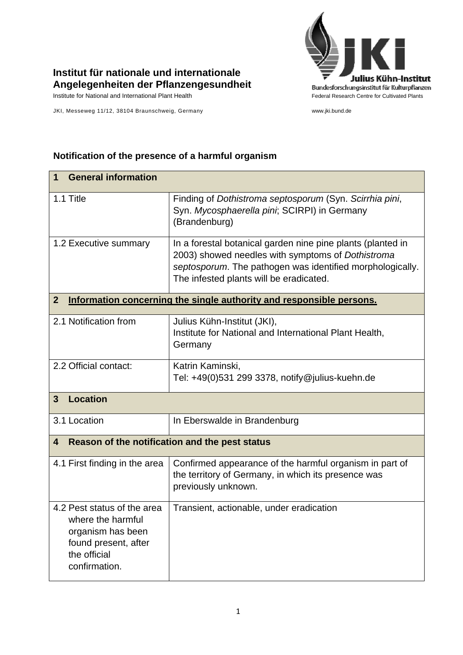

## **Institut für nationale und internationale Angelegenheiten der Pflanzengesundheit**

JKI, Messeweg 11/12, 38104 Braunschweig, Germany www.jki.bund.de

## **Notification of the presence of a harmful organism**

| <b>General information</b><br>1                                                                                                |                                                                                                                                                                                                                          |  |
|--------------------------------------------------------------------------------------------------------------------------------|--------------------------------------------------------------------------------------------------------------------------------------------------------------------------------------------------------------------------|--|
| 1.1 Title                                                                                                                      | Finding of Dothistroma septosporum (Syn. Scirrhia pini,<br>Syn. Mycosphaerella pini; SCIRPI) in Germany<br>(Brandenburg)                                                                                                 |  |
| 1.2 Executive summary                                                                                                          | In a forestal botanical garden nine pine plants (planted in<br>2003) showed needles with symptoms of Dothistroma<br>septosporum. The pathogen was identified morphologically.<br>The infested plants will be eradicated. |  |
| $\overline{2}$<br>Information concerning the single authority and responsible persons.                                         |                                                                                                                                                                                                                          |  |
| 2.1 Notification from                                                                                                          | Julius Kühn-Institut (JKI),<br>Institute for National and International Plant Health,<br>Germany                                                                                                                         |  |
| 2.2 Official contact:                                                                                                          | Katrin Kaminski,<br>Tel: +49(0)531 299 3378, notify@julius-kuehn.de                                                                                                                                                      |  |
| <b>Location</b><br>3                                                                                                           |                                                                                                                                                                                                                          |  |
| 3.1 Location                                                                                                                   | In Eberswalde in Brandenburg                                                                                                                                                                                             |  |
| Reason of the notification and the pest status<br>4                                                                            |                                                                                                                                                                                                                          |  |
| 4.1 First finding in the area                                                                                                  | Confirmed appearance of the harmful organism in part of<br>the territory of Germany, in which its presence was<br>previously unknown.                                                                                    |  |
| 4.2 Pest status of the area<br>where the harmful<br>organism has been<br>found present, after<br>the official<br>confirmation. | Transient, actionable, under eradication                                                                                                                                                                                 |  |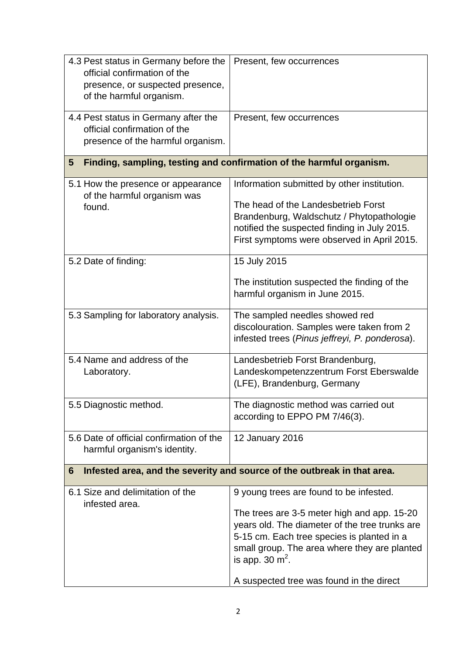| 4.3 Pest status in Germany before the<br>official confirmation of the<br>presence, or suspected presence,<br>of the harmful organism. | Present, few occurrences                                                                                                                                                                                                                                                                                |  |  |
|---------------------------------------------------------------------------------------------------------------------------------------|---------------------------------------------------------------------------------------------------------------------------------------------------------------------------------------------------------------------------------------------------------------------------------------------------------|--|--|
| 4.4 Pest status in Germany after the<br>official confirmation of the<br>presence of the harmful organism.                             | Present, few occurrences                                                                                                                                                                                                                                                                                |  |  |
| Finding, sampling, testing and confirmation of the harmful organism.<br>5                                                             |                                                                                                                                                                                                                                                                                                         |  |  |
| 5.1 How the presence or appearance<br>of the harmful organism was<br>found.                                                           | Information submitted by other institution.<br>The head of the Landesbetrieb Forst<br>Brandenburg, Waldschutz / Phytopathologie<br>notified the suspected finding in July 2015.<br>First symptoms were observed in April 2015.                                                                          |  |  |
| 5.2 Date of finding:                                                                                                                  | 15 July 2015<br>The institution suspected the finding of the<br>harmful organism in June 2015.                                                                                                                                                                                                          |  |  |
| 5.3 Sampling for laboratory analysis.                                                                                                 | The sampled needles showed red<br>discolouration. Samples were taken from 2<br>infested trees (Pinus jeffreyi, P. ponderosa).                                                                                                                                                                           |  |  |
| 5.4 Name and address of the<br>Laboratory.                                                                                            | Landesbetrieb Forst Brandenburg,<br>Landeskompetenzzentrum Forst Eberswalde<br>(LFE), Brandenburg, Germany                                                                                                                                                                                              |  |  |
| 5.5 Diagnostic method.                                                                                                                | The diagnostic method was carried out<br>according to EPPO PM 7/46(3).                                                                                                                                                                                                                                  |  |  |
| 5.6 Date of official confirmation of the<br>harmful organism's identity.                                                              | 12 January 2016                                                                                                                                                                                                                                                                                         |  |  |
| Infested area, and the severity and source of the outbreak in that area.<br>6                                                         |                                                                                                                                                                                                                                                                                                         |  |  |
| 6.1 Size and delimitation of the<br>infested area.                                                                                    | 9 young trees are found to be infested.<br>The trees are 3-5 meter high and app. 15-20<br>years old. The diameter of the tree trunks are<br>5-15 cm. Each tree species is planted in a<br>small group. The area where they are planted<br>is app. 30 $m2$ .<br>A suspected tree was found in the direct |  |  |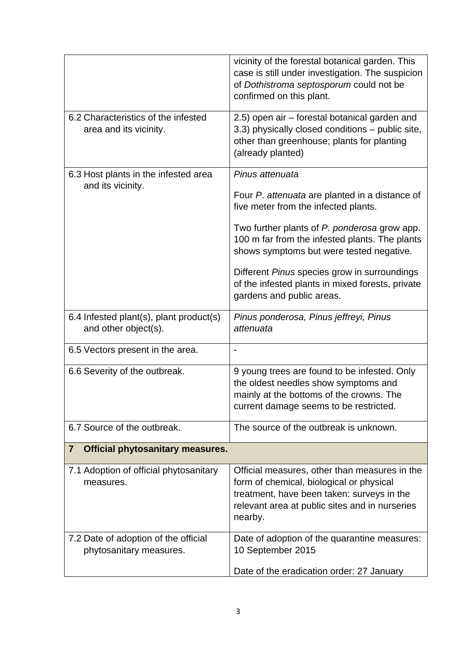|                                                                 | vicinity of the forestal botanical garden. This<br>case is still under investigation. The suspicion<br>of Dothistroma septosporum could not be<br>confirmed on this plant.                           |  |
|-----------------------------------------------------------------|------------------------------------------------------------------------------------------------------------------------------------------------------------------------------------------------------|--|
| 6.2 Characteristics of the infested<br>area and its vicinity.   | 2.5) open air – forestal botanical garden and<br>3.3) physically closed conditions – public site,<br>other than greenhouse; plants for planting<br>(already planted)                                 |  |
| 6.3 Host plants in the infested area                            | Pinus attenuata                                                                                                                                                                                      |  |
| and its vicinity.                                               | Four P. attenuata are planted in a distance of<br>five meter from the infected plants.                                                                                                               |  |
|                                                                 | Two further plants of P. ponderosa grow app.<br>100 m far from the infested plants. The plants<br>shows symptoms but were tested negative.                                                           |  |
|                                                                 | Different Pinus species grow in surroundings<br>of the infested plants in mixed forests, private<br>gardens and public areas.                                                                        |  |
| 6.4 Infested plant(s), plant product(s)<br>and other object(s). | Pinus ponderosa, Pinus jeffreyi, Pinus<br>attenuata                                                                                                                                                  |  |
| 6.5 Vectors present in the area.                                |                                                                                                                                                                                                      |  |
| 6.6 Severity of the outbreak.                                   | 9 young trees are found to be infested. Only<br>the oldest needles show symptoms and<br>mainly at the bottoms of the crowns. The<br>current damage seems to be restricted.                           |  |
| 6.7 Source of the outbreak.                                     | The source of the outbreak is unknown.                                                                                                                                                               |  |
| <b>Official phytosanitary measures.</b><br>7                    |                                                                                                                                                                                                      |  |
| 7.1 Adoption of official phytosanitary<br>measures.             | Official measures, other than measures in the<br>form of chemical, biological or physical<br>treatment, have been taken: surveys in the<br>relevant area at public sites and in nurseries<br>nearby. |  |
| 7.2 Date of adoption of the official<br>phytosanitary measures. | Date of adoption of the quarantine measures:<br>10 September 2015                                                                                                                                    |  |
|                                                                 | Date of the eradication order: 27 January                                                                                                                                                            |  |